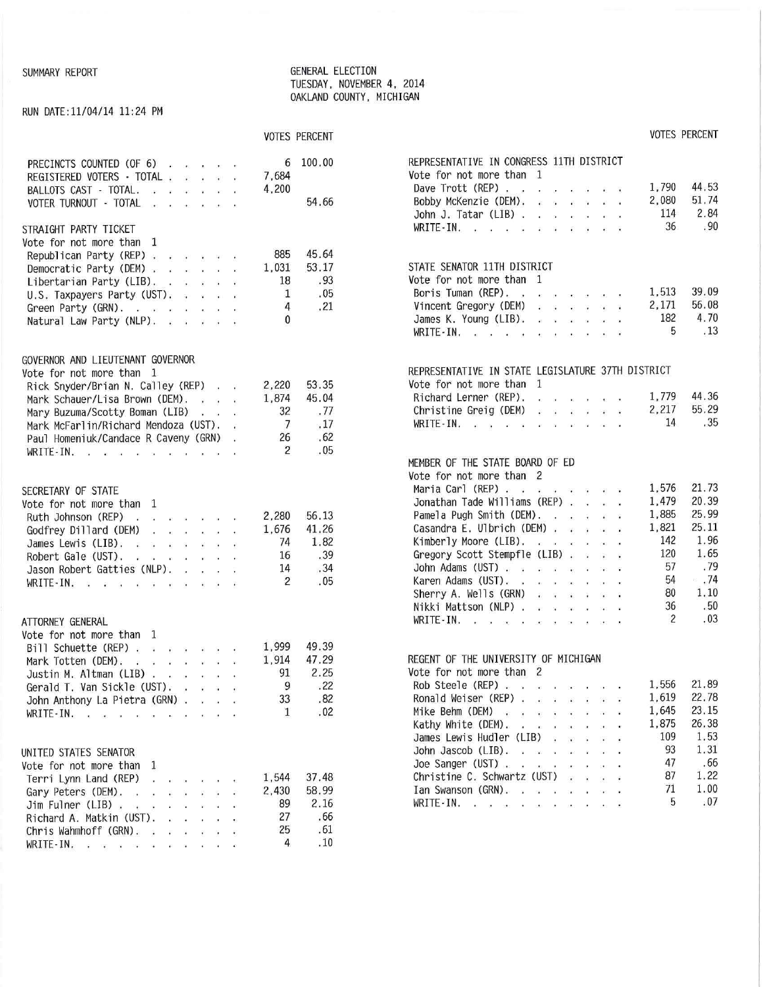#### SUMMARY REPORT GENERAL ELECTION TUESDAY, NOVEMBER 4, 2014 OAKLAND COUNTY. MICHIGAN

# RUN DATE:11/04/14 11:24 PM

# VOTES PERCENT VOTES PERCENT

| PRECINCTS COUNTED (OF 6)<br>6<br>7,684<br>REGISTERED VOTERS - TOTAL<br>4,200<br>BALLOTS CAST - TOTAL.<br>VOTER TURNOUT - TOTAL<br>STRAIGHT PARTY TICKET<br>Vote for not more than 1                                                                                                                                                    | 100.00<br>54.66                             | REPRESENTATIVE IN CONGRESS 11TH DISTRICT<br>Vote for not more than 1<br>44.53<br>1,790<br>Dave Trott (REP) $\cdots$ $\cdots$ $\cdots$<br>2,080<br>51.74<br>Bobby McKenzie (DEM).<br>2.84<br>114<br>John J. Tatar (LIB) $\ldots$ , $\ldots$<br>.90<br>36<br>WRITE-IN.                                                                                                                                                                                                                                                                             |
|----------------------------------------------------------------------------------------------------------------------------------------------------------------------------------------------------------------------------------------------------------------------------------------------------------------------------------------|---------------------------------------------|--------------------------------------------------------------------------------------------------------------------------------------------------------------------------------------------------------------------------------------------------------------------------------------------------------------------------------------------------------------------------------------------------------------------------------------------------------------------------------------------------------------------------------------------------|
| 885<br>Republican Party (REP)<br>1,031<br>Democratic Party (DEM)<br>18<br>Libertarian Party (LIB).<br>1<br>U.S. Taxpayers Party (UST).<br>4<br>Green Party (GRN).<br>$\mathbf{0}$<br>Natural Law Party (NLP).                                                                                                                          | 45.64<br>53.17<br>.93<br>.05<br>.21         | STATE SENATOR 11TH DISTRICT<br>Vote for not more than 1<br>39.09<br>1,513<br>Boris Tuman (REP).<br>56.08<br>2,171<br>Vincent Gregory (DEM)<br>$\label{eq:reduced} \mathcal{L} = \mathcal{R} - \mathcal{R} \mathcal{R} - \mathcal{R} - \mathcal{R} \mathcal{R} - \mathcal{R}$<br>4.70<br>182<br>James K. Young (LIB).<br>5<br>.13<br>WRITE-IN.                                                                                                                                                                                                    |
| GOVERNOR AND LIEUTENANT GOVERNOR<br>Vote for not more than 1<br>2,220<br>Rick Snyder/Brian N. Calley (REP)<br>$\sim$ $\sim$ $\sim$<br>1,874<br>Mark Schauer/Lisa Brown (DEM).<br>32<br>Mary Buzuma/Scotty Boman (LIB)<br>7<br>Mark McFarlin/Richard Mendoza (UST). .<br>Paul Homeniuk/Candace R Caveny (GRN) .<br>26<br>2<br>WRITE-IN. | 53.35<br>45.04<br>.77<br>.17<br>.62<br>.05  | REPRESENTATIVE IN STATE LEGISLATURE 37TH DISTRICT<br>Vote for not more than 1<br>44.36<br>1,779<br>Richard Lerner (REP).<br><b>Contract Contract Contract Contract Contract</b><br>55.29<br>2,217<br>Christine Greig (DEM)<br>.35<br>14<br>WRITE-IN.<br>MEMBER OF THE STATE BOARD OF ED                                                                                                                                                                                                                                                          |
| SECRETARY OF STATE<br>Vote for not more than 1<br>2,280<br>Ruth Johnson (REP)<br>1,676<br>Godfrey Dillard (DEM)<br>$\begin{array}{cccccccccccccc} a & a & b & a & c & b & d & e & e \end{array}$<br>74<br>James Lewis (LIB).<br>16<br>Robert Gale (UST).<br>14<br>Jason Robert Gatties (NLP).<br>2<br>WRITE-IN.                        | 56.13<br>41.26<br>1.82<br>.39<br>.34<br>.05 | Vote for not more than 2<br>1,576<br>21.73<br>Maria Carl (REP)<br>20.39<br>1,479<br>Jonathan Tade Williams (REP)<br>25.99<br>1,885<br>Pamela Pugh Smith (DEM).<br>25.11<br>1,821<br>Casandra E. Ulbrich (DEM)<br>1.96<br>142<br>Kimberly Moore (LIB).<br>1.65<br>120<br>Gregory Scott Stempfle (LIB)<br>.79<br>57<br>John Adams (UST)<br>.74<br>54<br>Karen Adams (UST).<br>1.10<br>80<br>Sherry A. Wells (GRN)<br>$\begin{array}{cccccccccccccc} B & B & B & B & B & B & C & D & D \end{array}$<br>36<br>.50<br>Nikki Mattson (NLP)<br>2<br>.03 |
| ATTORNEY GENERAL<br>Vote for not more than 1<br>1,999<br>Bill Schuette (REP)<br>1,914<br>Mark Totten (DEM).<br>91<br>Justin M. Altman (LIB) $\cdot \cdot \cdot \cdot \cdot$<br>9<br>Gerald T. Van Sickle (UST).<br>第一章 段<br><b>G</b><br>33<br>John Anthony La Pietra (GRN)<br>$\mathbf{1}$<br>WRITE-IN.                                | 49.39<br>47.29<br>2.25<br>.22<br>.82<br>.02 | WRITE-IN.<br>REGENT OF THE UNIVERSITY OF MICHIGAN<br>Vote for not more than 2<br>21.89<br>Rob Steele (REP)<br>1,556<br>22.78<br>1,619<br>Ronald Weiser (REP)<br>23.15<br>1,645<br>Mike Behm (DEM)<br>26.38<br>1,875<br>Kathy White (DEM).<br>109<br>1.53<br>James Lewis Hudler (LIB)                                                                                                                                                                                                                                                             |
| UNITED STATES SENATOR<br>Vote for not more than 1<br>1,544<br>Terri Lynn Land (REP) $\ldots$ $\ldots$<br>2,430<br>Gary Peters (DEM).<br>89<br>$Jim$ Fulner (LIB) $\ldots$ $\ldots$ $\ldots$<br>27<br>Richard A. Matkin (UST).<br>25<br>Chris Wahmhoff (GRN).<br>4<br>WRITE IN. $\cdots$ $\cdots$                                       | 37.48<br>58.99<br>2.16<br>.66<br>.61<br>.10 | 93<br>1.31<br>John Jascob (LIB). $\cdot \cdot \cdot \cdot \cdot \cdot$<br>47<br>.66<br>Joe Sanger (UST) $\cdots$ $\cdots$ $\cdots$<br>1.22<br>87<br>Christine C. Schwartz (UST)<br>$127 - 12 = 123 - 12$<br>1.00<br>71<br>Ian Swanson (GRN).<br>.07<br>5<br>WRITE-IN. $\cdots$ $\cdots$ $\cdots$ $\cdots$                                                                                                                                                                                                                                        |

| REPRESENTATIVE IN CONGRESS 11TH DISTRICT          |                              |                      |                       |                                                                                                                                             |   |                |             |
|---------------------------------------------------|------------------------------|----------------------|-----------------------|---------------------------------------------------------------------------------------------------------------------------------------------|---|----------------|-------------|
| Vote for not more than 1                          |                              |                      |                       |                                                                                                                                             |   |                |             |
| Dave Trott (REP)                                  |                              |                      |                       | $x - 3 - 3 - 3 - 8$                                                                                                                         |   |                | 1,790 44.53 |
| Bobby McKenzie (DEM).                             |                              |                      |                       | $6 - 8 - 8 - 9 - 10 - 7$                                                                                                                    |   |                | 2,080 51.74 |
| John J. Tatar (LIB) $\ldots$ $\ldots$ $\ldots$    |                              |                      |                       |                                                                                                                                             |   | 114            | 2.84        |
| WRITE-IN.                                         |                              |                      |                       |                                                                                                                                             |   | 36             | .90         |
|                                                   |                              |                      |                       |                                                                                                                                             |   |                |             |
| STATE SENATOR 11TH DISTRICT                       |                              |                      |                       |                                                                                                                                             |   |                |             |
| Vote for not more than                            | 1                            |                      |                       |                                                                                                                                             |   |                |             |
| Boris Tuman (REP). .                              |                              |                      |                       | .                                                                                                                                           |   |                | 1,513 39.09 |
| Vincent Gregory (DEM)                             |                              |                      |                       | $\frac{1}{2}$ $\frac{1}{2}$ $\frac{1}{2}$ $\frac{1}{2}$ $\frac{1}{2}$ $\frac{1}{2}$ $\frac{1}{2}$ $\frac{1}{2}$ $\frac{1}{2}$ $\frac{1}{2}$ |   |                | 2,171 56.08 |
| James K. Young (LIB).                             |                              |                      |                       |                                                                                                                                             |   | 182            | 4.70        |
| WRITE-IN.                                         |                              |                      |                       |                                                                                                                                             |   | 5              | . 13        |
|                                                   |                              |                      |                       |                                                                                                                                             |   |                |             |
| REPRESENTATIVE IN STATE LEGISLATURE 37TH DISTRICT |                              |                      |                       |                                                                                                                                             |   |                |             |
| Vote for not more than                            | 1                            |                      |                       |                                                                                                                                             |   |                |             |
| Richard Lerner (REP).                             |                              | $e = x - 1$          |                       | $\mathbf{x} = \mathbf{x} - \mathbf{y}$                                                                                                      |   |                | 1,779 44.36 |
| Christine Greig (DEM)                             |                              |                      |                       |                                                                                                                                             |   |                | 2,217 55.29 |
|                                                   |                              |                      |                       |                                                                                                                                             |   | 14             | .35         |
| WRITE-IN.                                         |                              |                      |                       |                                                                                                                                             |   |                |             |
|                                                   |                              |                      |                       |                                                                                                                                             |   |                |             |
| MEMBER OF THE STATE BOARD OF ED                   |                              |                      |                       |                                                                                                                                             |   |                |             |
| Vote for not more than 2                          |                              |                      |                       |                                                                                                                                             |   |                |             |
| Maria Carl (REP)                                  |                              |                      |                       | $\begin{array}{cccccccccc} \mathbf{1} & \mathbf{2} & \mathbf{3} & \mathbf{1} & \mathbf{3} & \mathbf{1} & \mathbf{1} \end{array}$            |   | 1,576          | 21.73       |
| Jonathan Tade Williams (REP)                      |                              |                      |                       |                                                                                                                                             |   | 1,479          | 20.39       |
| Pamela Pugh Smith (DEM).                          |                              |                      |                       |                                                                                                                                             |   | 1,885          | 25.99       |
| Casandra E. Ulbrich (DEM)                         |                              |                      |                       |                                                                                                                                             |   | 1,821          | 25.11       |
| Kimberly Moore (LIB).                             |                              |                      |                       |                                                                                                                                             |   | 142            | 1.96        |
| Gregory Scott Stempfle (LIB)                      |                              |                      |                       |                                                                                                                                             |   | 120            | 1.65        |
| John Adams (UST)                                  |                              |                      |                       |                                                                                                                                             |   | 57             | .79         |
| Karen Adams (UST).                                |                              |                      |                       |                                                                                                                                             |   | 54             | 3,74        |
| Sherry A. Wells $(GRN)$                           |                              |                      |                       |                                                                                                                                             |   | 80             | 1,10        |
| Nikki Mattson (NLP)                               |                              |                      |                       |                                                                                                                                             |   | 36             | .50         |
| WRITE-IN. $\cdots$ $\cdots$                       |                              |                      |                       |                                                                                                                                             |   | $\overline{2}$ | .03         |
|                                                   |                              |                      |                       |                                                                                                                                             |   |                |             |
| REGENT OF THE UNIVERSITY OF MICHIGAN              |                              |                      |                       |                                                                                                                                             |   |                |             |
| Vote for not more than                            | $\overline{c}$               |                      |                       |                                                                                                                                             |   |                |             |
| Rob Steele (REP)                                  |                              |                      |                       |                                                                                                                                             |   |                | 1,556 21.89 |
| Ronald Weiser (REP).                              | - 8                          |                      |                       | $3 - 10 - 3 - 28$                                                                                                                           |   | 1,619          | 22.78       |
| Mike Behm (DEM) .<br>$\mathcal{L}$                | $\sim$                       |                      |                       |                                                                                                                                             |   | 1,645          | 23.15       |
| Kathy White (DEM).<br>$\alpha$ .                  | on a                         |                      |                       |                                                                                                                                             |   | 1,875          | 26.38       |
| James Lewis Hudler (LIB)                          |                              |                      | Ŷ.                    |                                                                                                                                             |   | 109            | 1.53        |
| John Jascob (LIB).                                | $\alpha = 100$               | $\ddot{\phantom{a}}$ |                       |                                                                                                                                             |   | 93             | 1.31        |
| Joe Sanger (UST)                                  | $\sim$                       |                      | $\cdot$               |                                                                                                                                             |   | 47             | .66         |
| Christine C. Schwartz (UST)                       |                              |                      | i.                    |                                                                                                                                             |   | 87             | 1.22        |
| Ian Swanson (GRN).                                | $\alpha = -\alpha = -\alpha$ |                      | $\overline{\partial}$ |                                                                                                                                             | ¥ | 71             | 1.00        |
| $WRITE-IN.$                                       |                              |                      |                       |                                                                                                                                             |   | 5              | .07         |
|                                                   |                              |                      |                       |                                                                                                                                             |   |                |             |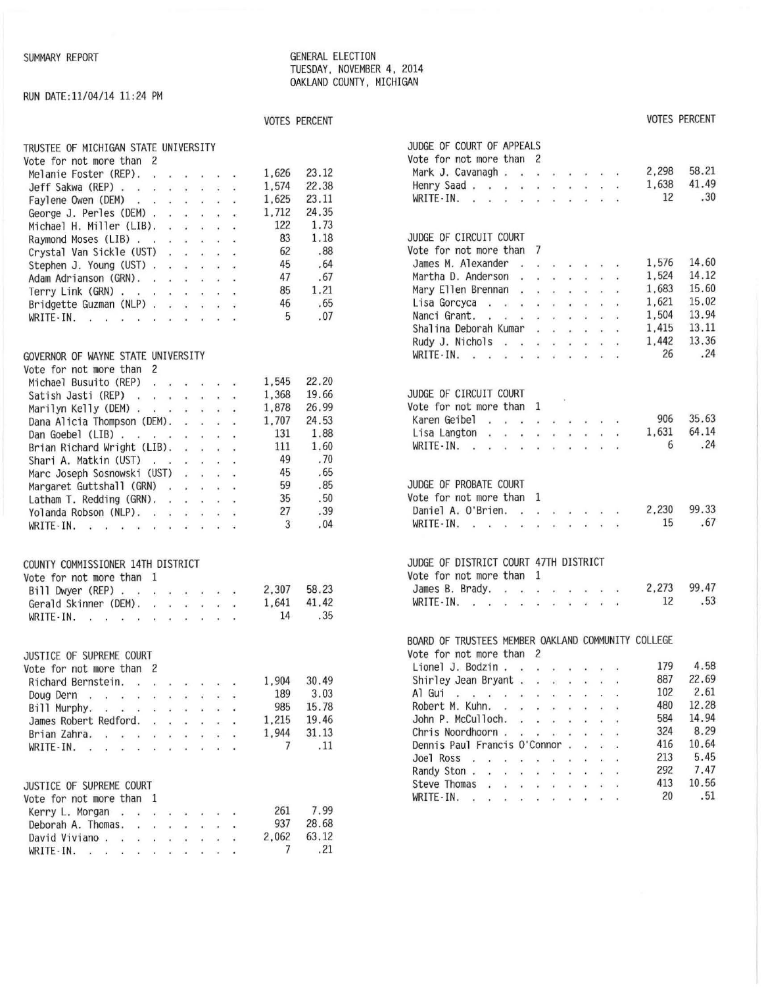#### SUMMARY REPORT **GENERAL ELECTION** TUESDAY, NOVEMBER 4, 2014 OAKLAND COUNTY , MICHIGAN

# RUN DATE: ll/04/14 11 :24 PM

# VOTES PERCENT VOTES PERCENT

| TRUSTEE OF MICHIGAN STATE UNIVERSITY                        |       |       | JUDGE OF COURT OF APPEALS                                                                                                                                                                                                                                                                                                                                                                                                                                                   |
|-------------------------------------------------------------|-------|-------|-----------------------------------------------------------------------------------------------------------------------------------------------------------------------------------------------------------------------------------------------------------------------------------------------------------------------------------------------------------------------------------------------------------------------------------------------------------------------------|
| Vote for not more than 2                                    |       |       | Vote for not more than 2                                                                                                                                                                                                                                                                                                                                                                                                                                                    |
| Melanie Foster (REP).                                       | 1,626 | 23.12 | 58.21<br>2,298<br>Mark J. Cavanagh                                                                                                                                                                                                                                                                                                                                                                                                                                          |
| Jeff Sakwa (REP)                                            | 1,574 | 22.38 | 41.49<br>1,638<br>Henry Saad                                                                                                                                                                                                                                                                                                                                                                                                                                                |
| Faylene Owen (DEM)                                          | 1,625 | 23.11 | .30<br>12<br>WRITE - IN. $\ldots$ $\ldots$ $\ldots$ $\ldots$ $\ldots$                                                                                                                                                                                                                                                                                                                                                                                                       |
| George J. Perles (DEM)                                      | 1,712 | 24.35 |                                                                                                                                                                                                                                                                                                                                                                                                                                                                             |
| Michael H. Miller (LIB). $\cdot \cdot \cdot \cdot$          | 122   | 1.73  |                                                                                                                                                                                                                                                                                                                                                                                                                                                                             |
| Raymond Moses (LIB)                                         | 83    | 1.18  | JUDGE OF CIRCUIT COURT                                                                                                                                                                                                                                                                                                                                                                                                                                                      |
| Crystal Van Sickle (UST)                                    | 62    | .88   | Vote for not more than 7                                                                                                                                                                                                                                                                                                                                                                                                                                                    |
| Stephen J. Young (UST)                                      | 45    | .64   | 14.60<br>1,576<br>James M. Alexander                                                                                                                                                                                                                                                                                                                                                                                                                                        |
|                                                             | 47    | .67   | 14.12<br>1,524<br>Martha D. Anderson                                                                                                                                                                                                                                                                                                                                                                                                                                        |
| Adam Adrianson (GRN).                                       | 85    | 1.21  | 15.60<br>1,683<br>Mary Ellen Brennan                                                                                                                                                                                                                                                                                                                                                                                                                                        |
| Terry Link (GRN)                                            | 46    | .65   | 15.02<br>1,621<br>Lisa Gordyca                                                                                                                                                                                                                                                                                                                                                                                                                                              |
| Bridgette Guzman (NLP)                                      |       | .07   | 13.94<br>1,504<br>Nanci Grant.                                                                                                                                                                                                                                                                                                                                                                                                                                              |
| WRITE-IN.                                                   | 5     |       | 13.11<br>1,415<br>Shalina Deborah Kumar<br>and the company of the com-                                                                                                                                                                                                                                                                                                                                                                                                      |
|                                                             |       |       | 13.36<br>1,442                                                                                                                                                                                                                                                                                                                                                                                                                                                              |
|                                                             |       |       | Rudy J. Nichols<br>.24<br>26                                                                                                                                                                                                                                                                                                                                                                                                                                                |
| GOVERNOR OF WAYNE STATE UNIVERSITY                          |       |       | WRITE-IN.                                                                                                                                                                                                                                                                                                                                                                                                                                                                   |
| Vote for not more than 2                                    |       |       |                                                                                                                                                                                                                                                                                                                                                                                                                                                                             |
| Michael Busuito (REP)                                       | 1,545 | 22.20 |                                                                                                                                                                                                                                                                                                                                                                                                                                                                             |
| Satish Jasti (REP)                                          | 1,368 | 19.66 | JUDGE OF CIRCUIT COURT                                                                                                                                                                                                                                                                                                                                                                                                                                                      |
| Marilyn Kelly (DEM)                                         | 1,878 | 26.99 | Vote for not more than 1                                                                                                                                                                                                                                                                                                                                                                                                                                                    |
| Dana Alicia Thompson (DEM).                                 | 1,707 | 24.53 | 35.63<br>906<br>Karen Geibel,                                                                                                                                                                                                                                                                                                                                                                                                                                               |
| Dan Goebel (LIB) $\cdots$ $\cdots$ $\cdots$                 | 131   | 1.88  | 64.14<br>1,631<br>Lisa Langton                                                                                                                                                                                                                                                                                                                                                                                                                                              |
| Brian Richard Wright (LIB).                                 | 111   | 1.60  | .24<br>6<br>WRITE-IN.                                                                                                                                                                                                                                                                                                                                                                                                                                                       |
| Shari A. Matkin (UST)                                       | 49    | .70   |                                                                                                                                                                                                                                                                                                                                                                                                                                                                             |
| Marc Joseph Sosnowski (UST)                                 | 45    | .65   |                                                                                                                                                                                                                                                                                                                                                                                                                                                                             |
| Margaret Guttshall (GRN)                                    | 59    | .85   | JUDGE OF PROBATE COURT                                                                                                                                                                                                                                                                                                                                                                                                                                                      |
| Latham T. Redding $(GRN)$ .                                 | 35    | .50   | Vote for not more than 1                                                                                                                                                                                                                                                                                                                                                                                                                                                    |
| Yolanda Robson (NLP).                                       | 27    | .39   | 99.33<br>2,230<br>Daniel A. O'Brien.                                                                                                                                                                                                                                                                                                                                                                                                                                        |
| $WRITE-IN.$                                                 | 3     | .04   | .67<br>15<br>WRITE - IN.                                                                                                                                                                                                                                                                                                                                                                                                                                                    |
| COUNTY COMMISSIONER 14TH DISTRICT                           |       |       | JUDGE OF DISTRICT COURT 47TH DISTRICT                                                                                                                                                                                                                                                                                                                                                                                                                                       |
| Vote for not more than 1                                    |       |       | Vote for not more than 1                                                                                                                                                                                                                                                                                                                                                                                                                                                    |
| Bill Dwyer (REP)                                            | 2,307 | 58.23 | 99.47<br>2,273<br>James B. Brady.                                                                                                                                                                                                                                                                                                                                                                                                                                           |
| Gerald Skinner (DEM).                                       | 1,641 | 41.42 | .53<br>12<br>WRITE-IN.                                                                                                                                                                                                                                                                                                                                                                                                                                                      |
| WRITE-IN.                                                   | 14    | .35   |                                                                                                                                                                                                                                                                                                                                                                                                                                                                             |
|                                                             |       |       | BOARD OF TRUSTEES MEMBER OAKLAND COMMUNITY COLLEGE                                                                                                                                                                                                                                                                                                                                                                                                                          |
| JUSTICE OF SUPREME COURT                                    |       |       | Vote for not more than 2                                                                                                                                                                                                                                                                                                                                                                                                                                                    |
| Vote for not more than 2                                    |       |       | 4.58<br>179<br>Lionel J. Bodzin                                                                                                                                                                                                                                                                                                                                                                                                                                             |
| Richard Bernstein.                                          | 1,904 | 30.49 | 22.69<br>887<br>Shirley Jean Bryant                                                                                                                                                                                                                                                                                                                                                                                                                                         |
| Doug Dern                                                   | 189   | 3.03  | 2.61<br>102<br>Al Gui, , , , , , , , , , , , ,                                                                                                                                                                                                                                                                                                                                                                                                                              |
| Bill Murphy, $\cdot \cdot \cdot \cdot \cdot \cdot$          | 985   | 15.78 | 12.28<br>480<br>Robert M. Kuhn.                                                                                                                                                                                                                                                                                                                                                                                                                                             |
| James Robert Redford.                                       | 1,215 | 19.46 | 14.94<br>584<br>John P. McCulloch.<br>$\begin{array}{cccccccccccccc} \mathbf{1} & \mathbf{1} & \mathbf{1} & \mathbf{1} & \mathbf{1} & \mathbf{1} & \mathbf{1} & \mathbf{1} & \mathbf{1} & \mathbf{1} & \mathbf{1} & \mathbf{1} & \mathbf{1} & \mathbf{1} & \mathbf{1} & \mathbf{1} & \mathbf{1} & \mathbf{1} & \mathbf{1} & \mathbf{1} & \mathbf{1} & \mathbf{1} & \mathbf{1} & \mathbf{1} & \mathbf{1} & \mathbf{1} & \mathbf{1} & \mathbf{1} & \mathbf{1} & \mathbf{1} &$ |
| Brian Zahra,                                                | 1,944 | 31.13 | 8.29<br>324<br>Chris Noordhoorn                                                                                                                                                                                                                                                                                                                                                                                                                                             |
| WRITE-IN. $\cdot \cdot \cdot \cdot \cdot \cdot \cdot \cdot$ | 7     | .11   | 416<br>10.64<br>Dennis Paul Francis O'Connor.<br>2010/01/03                                                                                                                                                                                                                                                                                                                                                                                                                 |
|                                                             |       |       | 5.45<br>213<br>Joel Ross                                                                                                                                                                                                                                                                                                                                                                                                                                                    |
|                                                             |       |       | 7.47<br>292<br>Randy Ston.                                                                                                                                                                                                                                                                                                                                                                                                                                                  |
| JUSTICE OF SUPREME COURT                                    |       |       | 10.56<br>413<br>Steve Thomas                                                                                                                                                                                                                                                                                                                                                                                                                                                |
| Vote for not more than 1                                    |       |       | 20<br>.51<br>WRITE-IN.                                                                                                                                                                                                                                                                                                                                                                                                                                                      |
| Kerry L. Morgan                                             | 261   | 7.99  |                                                                                                                                                                                                                                                                                                                                                                                                                                                                             |
| Deborah A. Thomas. $\ldots$ , $\ldots$                      | 937   | 28.68 |                                                                                                                                                                                                                                                                                                                                                                                                                                                                             |
| David Viviano.                                              | 2,062 | 63.12 |                                                                                                                                                                                                                                                                                                                                                                                                                                                                             |
| WRITE-IN.                                                   | 7     | .21   |                                                                                                                                                                                                                                                                                                                                                                                                                                                                             |

| RUSTEE OF MICHIGAN STATE UNIVERSITY              |                    | JUDGE OF COURT OF APPEALS                                                             |                |
|--------------------------------------------------|--------------------|---------------------------------------------------------------------------------------|----------------|
| ote for not more than 2                          |                    | Vote for not more than 2                                                              |                |
| Melanie Foster (REP).                            | 23.12<br>1,626     | Mark J. Cavanagh                                                                      | 58.21<br>2,298 |
| Jeff Sakwa (REP)                                 | 22.38<br>1,574     | Henry Saad.                                                                           | 41.49<br>1,638 |
| Faylene Owen (DEM)                               | 23.11<br>1,625     | WRITE - IN. $\cdots$ $\cdots$ $\cdots$                                                | .30<br>12      |
| George J. Perles (DEM)                           | 24.35<br>1,712     |                                                                                       |                |
| Michael H. Miller (LIB).<br>$-30.36 - 40.36 - 4$ | 122<br>1.73        |                                                                                       |                |
| Raymond Moses (LIB)                              | 83<br>1.18         | JUDGE OF CIRCUIT COURT                                                                |                |
| Crystal Van Sickle (UST)                         | .88<br>62          | Vote for not more than 7                                                              |                |
| Stephen J. Young (UST)                           | 45<br>.64          | James M. Alexander<br>$\cdot$                                                         | 14.60<br>1,576 |
| Adam Adrianson (GRN).                            | .67<br>47          | Martha D. Anderson                                                                    | 14.12<br>1,524 |
|                                                  | 1.21<br>85         | Mary Ellen Brennan                                                                    | 15.60<br>1.683 |
| Terry Link (GRN)                                 | 46<br>.65          | Lisa Gordyca                                                                          | 15.02<br>1,621 |
| Bridgette Guzman (NLP)                           | .07<br>5           | Nanci Grant.                                                                          | 13.94<br>1,504 |
| WRITE-IN.                                        |                    | Shalina Deborah Kumar                                                                 | 13.11<br>1,415 |
|                                                  |                    |                                                                                       | 13.36<br>1,442 |
|                                                  |                    | Rudy J. Nichols $\ldots$ $\ldots$ $\ldots$                                            | .24<br>26      |
| OVERNOR OF WAYNE STATE UNIVERSITY                |                    | WRITE-IN.                                                                             |                |
| ote for not more than 2                          |                    |                                                                                       |                |
| Michael Busuito (REP)                            | 22.20<br>1,545     |                                                                                       |                |
| Satish Jasti (REP)                               | 19.66<br>1,368     | JUDGE OF CIRCUIT COURT                                                                |                |
| Marilyn Kelly (DEM)                              | 26.99<br>1,878     | Vote for not more than 1                                                              |                |
| Dana Alicia Thompson (DEM).                      | 24.53<br>1,707     | Karen Geibel                                                                          | 35.63<br>906   |
| Dan Goebel (LIB) $\cdots$ $\cdots$ $\cdots$      | 131<br>1.88        | Lisa Langton<br>$\mathcal{R}$ . In this case of the contribution of the $\mathcal{R}$ | 64.14<br>1,631 |
| Brian Richard Wright (LIB).                      | 1.60<br>111        | WRITE-IN.                                                                             | .24<br>6       |
| Shari A. Matkin (UST)                            | .70<br>49          |                                                                                       |                |
| Marc Joseph Sosnowski (UST)                      | 45<br>.65          |                                                                                       |                |
| Margaret Guttshall (GRN)                         | 59<br>.85          | JUDGE OF PROBATE COURT                                                                |                |
| Latham T. Redding (GRN).                         | 35<br>.50          | Vote for not more than 1                                                              |                |
| Yolanda Robson (NLP).                            | .39<br>27          | Daniel A. O'Brien.                                                                    | 99.33<br>2,230 |
| WRITE-IN.                                        | 3<br>.04           | WRITE - IN.                                                                           | .67<br>15      |
|                                                  |                    | JUDGE OF DISTRICT COURT 47TH DISTRICT                                                 |                |
| OUNTY COMMISSIONER 14TH DISTRICT                 |                    | Vote for not more than 1                                                              |                |
| ote for not more than 1                          | 58.23<br>2,307     | James B. Brady.<br>$\cdot$                                                            | 99.47<br>2,273 |
| Bill Dwyer (REP)                                 | 41.42              |                                                                                       | .53<br>12      |
| Gerald Skinner (DEM).<br>WRITE-IN.               | 1,641<br>14<br>.35 | WRITE - IN.                                                                           |                |
|                                                  |                    | BOARD OF TRUSTEES MEMBER OAKLAND COMMUNITY COLLEGE                                    |                |
| USTICE OF SUPREME COURT                          |                    | Vote for not more than 2                                                              |                |
| ote for not more than 2                          |                    | Lionel J. Bodzin                                                                      | 4.58<br>179    |
| Richard Bernstein.                               | 30.49<br>1,904     | Shirley Jean Bryant                                                                   | 22.69<br>887   |
| Doug Dern                                        | 189<br>3.03        | Al Gui, , , , , , , , , , , , ,                                                       | 2.61<br>102    |
|                                                  | 15.78<br>985       | Robert M. Kuhn.                                                                       | 12.28<br>480   |
| Bill Murphy.<br>James Robert Redford.            | 19.46<br>1,215     | John P. McCulloch.<br>$\cdot$ $\cdot$ $\cdot$                                         | 584<br>14.94   |
|                                                  | 1,944<br>31.13     | Chris Noordhoorn                                                                      | 8.29<br>324    |
| Brian Zahra, , , , , , , , , ,                   | 7<br>.11           | Dennis Paul Francis O'Connor                                                          | 10.64<br>416   |
| WRITE-IN.                                        |                    | Joel Ross                                                                             | 213<br>5.45    |
|                                                  |                    | Randy Ston $\ldots$ $\ldots$ $\ldots$ $\ldots$                                        | 292<br>7.47    |
|                                                  |                    | Steve Thomas                                                                          | 413<br>10.56   |
| USTICE OF SUPREME COURT                          |                    | WRITE-IN.                                                                             | .51<br>20      |
| ote for not more than 1                          |                    |                                                                                       |                |